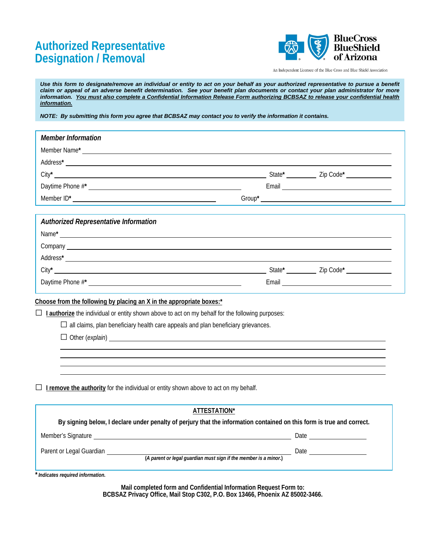## **Designation / Removal Authorized Representative**



An Independent Licensee of the Blue Cross and Blue Shield Association

*Use this form to designate/remove an individual or entity to act on your behalf as your authorized representative to pursue a benefit claim or appeal of an adverse benefit determination. See your benefit plan documents or contact your plan administrator for more information. You must also complete a Confidential Information Release Form authorizing BCBSAZ to release your confidential health information.* 

*NOTE: By submitting this form you agree that BCBSAZ may contact you to verify the information it contains.* 

| <b>Member Information</b>                                                                                                                                   |                                                                                                                                                                                                                                |
|-------------------------------------------------------------------------------------------------------------------------------------------------------------|--------------------------------------------------------------------------------------------------------------------------------------------------------------------------------------------------------------------------------|
|                                                                                                                                                             |                                                                                                                                                                                                                                |
|                                                                                                                                                             |                                                                                                                                                                                                                                |
|                                                                                                                                                             |                                                                                                                                                                                                                                |
|                                                                                                                                                             |                                                                                                                                                                                                                                |
|                                                                                                                                                             |                                                                                                                                                                                                                                |
|                                                                                                                                                             |                                                                                                                                                                                                                                |
| <b>Authorized Representative Information</b>                                                                                                                |                                                                                                                                                                                                                                |
| $Name*$ and $I*$ and $I*$ and $I*$ and $I*$ and $I*$ and $I*$ and $I*$ and $I*$ and $I*$ and $I*$ and $I*$ and $I*$ and $I*$ and $I*$ and $I*$ and $I*$ and |                                                                                                                                                                                                                                |
| Company Leaders and Company Company Company Company Company Company Company Company Company Company Company Company                                         |                                                                                                                                                                                                                                |
|                                                                                                                                                             |                                                                                                                                                                                                                                |
|                                                                                                                                                             |                                                                                                                                                                                                                                |
|                                                                                                                                                             | Email experience and the state of the state of the state of the state of the state of the state of the state of the state of the state of the state of the state of the state of the state of the state of the state of the st |
| Choose from the following by placing an X in the appropriate boxes:*                                                                                        |                                                                                                                                                                                                                                |
| $\Box$ Lauthorize the individual or entity shown above to act on my behalf for the following purposes:                                                      |                                                                                                                                                                                                                                |
| $\Box$ all claims, plan beneficiary health care appeals and plan beneficiary grievances.                                                                    |                                                                                                                                                                                                                                |
| $\Box$ Other (explain)                                                                                                                                      |                                                                                                                                                                                                                                |
|                                                                                                                                                             |                                                                                                                                                                                                                                |
|                                                                                                                                                             |                                                                                                                                                                                                                                |
|                                                                                                                                                             |                                                                                                                                                                                                                                |
| I remove the authority for the individual or entity shown above to act on my behalf.                                                                        |                                                                                                                                                                                                                                |
|                                                                                                                                                             |                                                                                                                                                                                                                                |
| ATTESTATION*                                                                                                                                                |                                                                                                                                                                                                                                |
| By signing below, I declare under penalty of perjury that the information contained on this form is true and correct.                                       |                                                                                                                                                                                                                                |
|                                                                                                                                                             |                                                                                                                                                                                                                                |
| Parent or Legal Guardian                                                                                                                                    | $\frac{1}{\sqrt{1-\frac{1}{2}}}\int_{0}^{1}$ Date $\frac{1}{\sqrt{1-\frac{1}{2}}}\int_{0}^{1}$                                                                                                                                 |
| (A parent or legal guardian must sign if the member is a minor.)                                                                                            |                                                                                                                                                                                                                                |
| Indicates required information.                                                                                                                             |                                                                                                                                                                                                                                |

 **BCBSAZ Privacy Office, Mail Stop C302, P.O. Box 13466, Phoenix AZ 85002-3466. Mail completed form and Confidential Information Request Form to:**